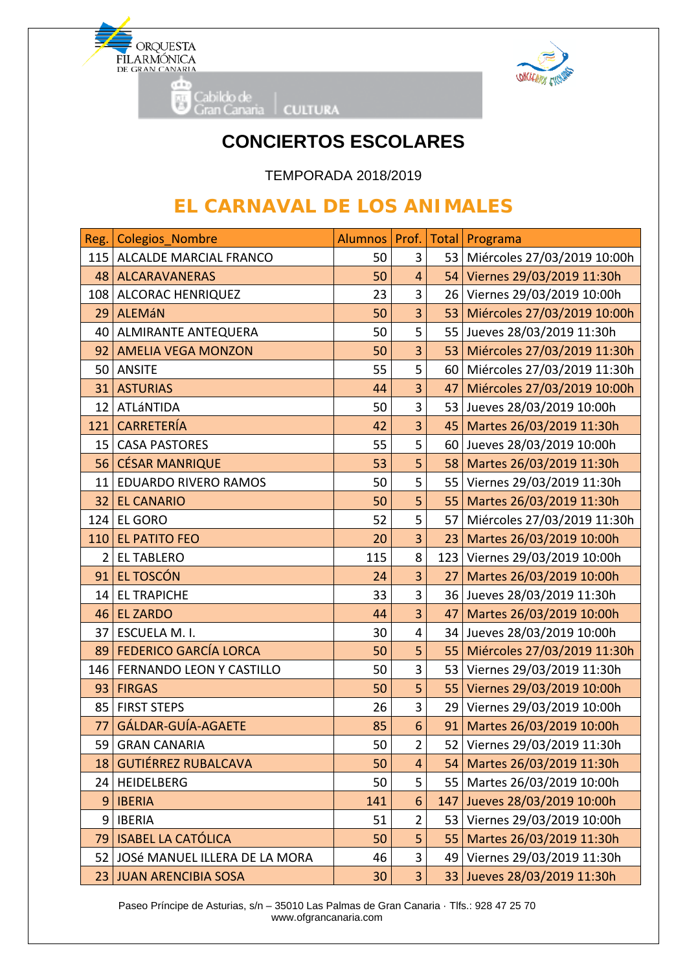



## **CONCIERTOS ESCOLARES**

TEMPORADA 2018/2019

## **EL CARNAVAL DE LOS ANIMALES**

| Reg.            | <b>Colegios Nombre</b>           | <b>Alumnos</b> | Prof.                   | Total           | Programa                       |
|-----------------|----------------------------------|----------------|-------------------------|-----------------|--------------------------------|
| 115             | ALCALDE MARCIAL FRANCO           | 50             | 3                       |                 | 53 Miércoles 27/03/2019 10:00h |
|                 | 48   ALCARAVANERAS               | 50             | 4                       |                 | 54 Viernes 29/03/2019 11:30h   |
| 108             | <b>ALCORAC HENRIQUEZ</b>         | 23             | 3                       |                 | 26 Viernes 29/03/2019 10:00h   |
| 29              | <b>ALEMÁN</b>                    | 50             | $\overline{3}$          | 53 <sub>1</sub> | Miércoles 27/03/2019 10:00h    |
| 40              | <b>ALMIRANTE ANTEQUERA</b>       | 50             | 5                       |                 | 55 Jueves 28/03/2019 11:30h    |
| 92              | <b>AMELIA VEGA MONZON</b>        | 50             | 3                       | 53              | Miércoles 27/03/2019 11:30h    |
| 50              | <b>ANSITE</b>                    | 55             | 5                       |                 | 60 Miércoles 27/03/2019 11:30h |
| 31              | <b>ASTURIAS</b>                  | 44             | 3                       | 47              | Miércoles 27/03/2019 10:00h    |
|                 | 12 ATLÁNTIDA                     | 50             | 3                       |                 | 53 Jueves 28/03/2019 10:00h    |
| 121             | <b>CARRETERÍA</b>                | 42             | 3                       |                 | 45 Martes 26/03/2019 11:30h    |
| 15              | <b>CASA PASTORES</b>             | 55             | 5                       |                 | 60 Jueves 28/03/2019 10:00h    |
| 56              | <b>CÉSAR MANRIQUE</b>            | 53             | 5                       |                 | 58 Martes 26/03/2019 11:30h    |
| 11              | <b>EDUARDO RIVERO RAMOS</b>      | 50             | 5                       |                 | 55 Viernes 29/03/2019 11:30h   |
| 32 <sub>2</sub> | <b>EL CANARIO</b>                | 50             | 5                       | 55              | Martes 26/03/2019 11:30h       |
| 124             | EL GORO                          | 52             | 5                       | 57              | Miércoles 27/03/2019 11:30h    |
| 110             | <b>EL PATITO FEO</b>             | 20             | 3                       | 23              | Martes 26/03/2019 10:00h       |
| $\overline{2}$  | <b>EL TABLERO</b>                | 115            | 8                       |                 | 123 Viernes 29/03/2019 10:00h  |
| 91              | EL TOSCÓN                        | 24             | 3                       | 27 <sup>1</sup> | Martes 26/03/2019 10:00h       |
| 14              | <b>EL TRAPICHE</b>               | 33             | 3                       |                 | 36 Jueves 28/03/2019 11:30h    |
| 46              | <b>EL ZARDO</b>                  | 44             | 3                       | 47              | Martes 26/03/2019 10:00h       |
| 37              | ESCUELA M. I.                    | 30             | 4                       |                 | 34 Jueves 28/03/2019 10:00h    |
| 89              | <b>FEDERICO GARCÍA LORCA</b>     | 50             | 5                       | 55              | Miércoles 27/03/2019 11:30h    |
| 146             | FERNANDO LEON Y CASTILLO         | 50             | 3                       |                 | 53 Viernes 29/03/2019 11:30h   |
| 93              | <b>FIRGAS</b>                    | 50             | 5                       | 55              | Viernes 29/03/2019 10:00h      |
|                 | 85   FIRST STEPS                 | 26             | 3                       |                 | 29 Viernes 29/03/2019 10:00h   |
| 77              | GÁLDAR-GUÍA-AGAETE               | 85             | 6                       | 91              | Martes 26/03/2019 10:00h       |
| 59              | <b>GRAN CANARIA</b>              | 50             | $\overline{\mathbf{c}}$ |                 | 52 Viernes 29/03/2019 11:30h   |
|                 | 18 GUTIÉRREZ RUBALCAVA           | 50             | $\overline{4}$          | 54              | Martes 26/03/2019 11:30h       |
|                 | 24 HEIDELBERG                    | 50             | 5                       |                 | 55   Martes 26/03/2019 10:00h  |
| 9               | <b>IBERIA</b>                    | 141            | 6                       | 147             | Jueves 28/03/2019 10:00h       |
|                 | 9   IBERIA                       | 51             | $\overline{2}$          | 53              | Viernes 29/03/2019 10:00h      |
| 79              | <b>ISABEL LA CATÓLICA</b>        | 50             | 5                       | 55 <sub>1</sub> | Martes 26/03/2019 11:30h       |
|                 | 52 JOSé MANUEL ILLERA DE LA MORA | 46             | 3                       | 49              | Viernes 29/03/2019 11:30h      |
|                 | 23 JUAN ARENCIBIA SOSA           | 30             | 3                       |                 | 33 Jueves 28/03/2019 11:30h    |

 Paseo Príncipe de Asturias, s/n – 35010 Las Palmas de Gran Canaria · Tlfs.: 928 47 25 70 www.ofgrancanaria.com